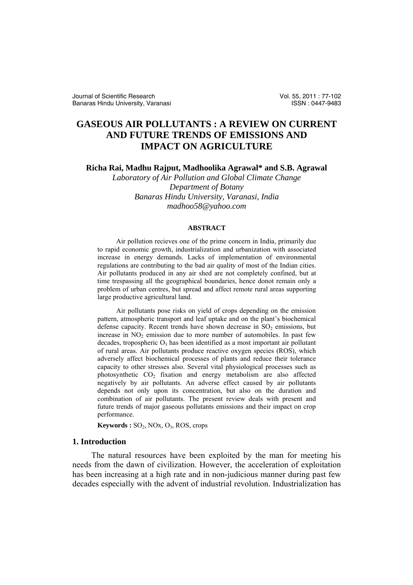# **GASEOUS AIR POLLUTANTS : A REVIEW ON CURRENT AND FUTURE TRENDS OF EMISSIONS AND IMPACT ON AGRICULTURE**

**Richa Rai, Madhu Rajput, Madhoolika Agrawal\* and S.B. Agrawal** 

*Laboratory of Air Pollution and Global Climate Change Department of Botany Banaras Hindu University, Varanasi, India madhoo58@yahoo.com* 

#### **ABSTRACT**

Air pollution recieves one of the prime concern in India, primarily due to rapid economic growth, industrialization and urbanization with associated increase in energy demands. Lacks of implementation of environmental regulations are contributing to the bad air quality of most of the Indian cities. Air pollutants produced in any air shed are not completely confined, but at time trespassing all the geographical boundaries, hence donot remain only a problem of urban centres, but spread and affect remote rural areas supporting large productive agricultural land.

 Air pollutants pose risks on yield of crops depending on the emission pattern, atmospheric transport and leaf uptake and on the plant's biochemical defense capacity. Recent trends have shown decrease in  $SO<sub>2</sub>$  emissions, but increase in  $NO<sub>2</sub>$  emission due to more number of automobiles. In past few decades, tropospheric  $O_3$  has been identified as a most important air pollutant of rural areas. Air pollutants produce reactive oxygen species (ROS), which adversely affect biochemical processes of plants and reduce their tolerance capacity to other stresses also. Several vital physiological processes such as photosynthetic CO<sub>2</sub> fixation and energy metabolism are also affected negatively by air pollutants. An adverse effect caused by air pollutants depends not only upon its concentration, but also on the duration and combination of air pollutants. The present review deals with present and future trends of major gaseous pollutants emissions and their impact on crop performance.

Keywords :  $SO_2$ , NOx,  $O_3$ , ROS, crops

## **1. Introduction**

 The natural resources have been exploited by the man for meeting his needs from the dawn of civilization. However, the acceleration of exploitation has been increasing at a high rate and in non-judicious manner during past few decades especially with the advent of industrial revolution. Industrialization has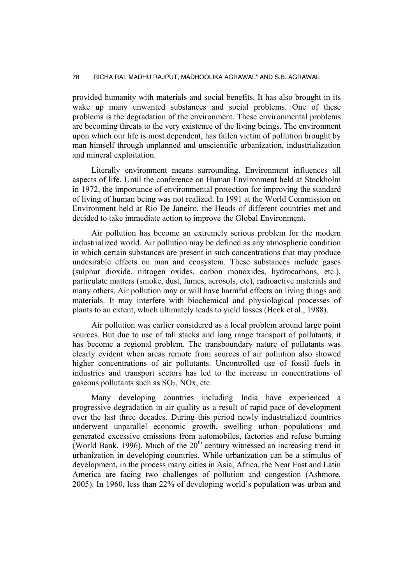provided humanity with materials and social benefits. It has also brought in its wake up many unwanted substances and social problems. One of these problems is the degradation of the environment. These environmental problems are becoming threats to the very existence of the living beings. The environment upon which our life is most dependent, has fallen victim of pollution brought by man himself through unplanned and unscientific urbanization, industrialization and mineral exploitation.

 Literally environment means surrounding. Environment influences all aspects of life. Until the conference on Human Environment held at Stockholm in 1972, the importance of environmental protection for improving the standard of living of human being was not realized. In 1991 at the World Commission on Environment held at Rio De Janeiro, the Heads of different countries met and decided to take immediate action to improve the Global Environment.

 Air pollution has become an extremely serious problem for the modern industrialized world. Air pollution may be defined as any atmospheric condition in which certain substances are present in such concentrations that may produce undesirable effects on man and ecosystem. These substances include gases (sulphur dioxide, nitrogen oxides, carbon monoxides, hydrocarbons, etc.), particulate matters (smoke, dust, fumes, aerosols, etc), radioactive materials and many others. Air pollution may or will have harmful effects on living things and materials. It may interfere with biochemical and physiological processes of plants to an extent, which ultimately leads to yield losses (Heck et al., 1988).

 Air pollution was earlier considered as a local problem around large point sources. But due to use of tall stacks and long range transport of pollutants, it has become a regional problem. The transboundary nature of pollutants was clearly evident when areas remote from sources of air pollution also showed higher concentrations of air pollutants. Uncontrolled use of fossil fuels in industries and transport sectors has led to the increase in concentrations of gaseous pollutants such as  $SO_2$ , NOx, etc.

 Many developing countries including India have experienced a progressive degradation in air quality as a result of rapid pace of development over the last three decades. During this period newly industrialized countries underwent unparallel economic growth, swelling urban populations and generated excessive emissions from automobiles, factories and refuse burning (World Bank, 1996). Much of the  $20<sup>th</sup>$  century witnessed an increasing trend in urbanization in developing countries. While urbanization can be a stimulus of development, in the process many cities in Asia, Africa, the Near East and Latin America are facing two challenges of pollution and congestion (Ashmore, 2005). In 1960, less than 22% of developing world's population was urban and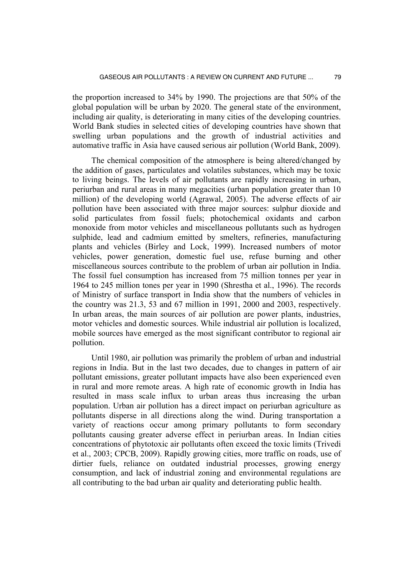the proportion increased to 34% by 1990. The projections are that 50% of the global population will be urban by 2020. The general state of the environment, including air quality, is deteriorating in many cities of the developing countries. World Bank studies in selected cities of developing countries have shown that swelling urban populations and the growth of industrial activities and automative traffic in Asia have caused serious air pollution (World Bank, 2009).

 The chemical composition of the atmosphere is being altered/changed by the addition of gases, particulates and volatiles substances, which may be toxic to living beings. The levels of air pollutants are rapidly increasing in urban, periurban and rural areas in many megacities (urban population greater than 10 million) of the developing world (Agrawal, 2005). The adverse effects of air pollution have been associated with three major sources: sulphur dioxide and solid particulates from fossil fuels; photochemical oxidants and carbon monoxide from motor vehicles and miscellaneous pollutants such as hydrogen sulphide, lead and cadmium emitted by smelters, refineries, manufacturing plants and vehicles (Birley and Lock, 1999). Increased numbers of motor vehicles, power generation, domestic fuel use, refuse burning and other miscellaneous sources contribute to the problem of urban air pollution in India. The fossil fuel consumption has increased from 75 million tonnes per year in 1964 to 245 million tones per year in 1990 (Shrestha et al., 1996). The records of Ministry of surface transport in India show that the numbers of vehicles in the country was 21.3, 53 and 67 million in 1991, 2000 and 2003, respectively. In urban areas, the main sources of air pollution are power plants, industries, motor vehicles and domestic sources. While industrial air pollution is localized, mobile sources have emerged as the most significant contributor to regional air pollution.

 Until 1980, air pollution was primarily the problem of urban and industrial regions in India. But in the last two decades, due to changes in pattern of air pollutant emissions, greater pollutant impacts have also been experienced even in rural and more remote areas. A high rate of economic growth in India has resulted in mass scale influx to urban areas thus increasing the urban population. Urban air pollution has a direct impact on periurban agriculture as pollutants disperse in all directions along the wind. During transportation a variety of reactions occur among primary pollutants to form secondary pollutants causing greater adverse effect in periurban areas. In Indian cities concentrations of phytotoxic air pollutants often exceed the toxic limits (Trivedi et al., 2003; CPCB, 2009). Rapidly growing cities, more traffic on roads, use of dirtier fuels, reliance on outdated industrial processes, growing energy consumption, and lack of industrial zoning and environmental regulations are all contributing to the bad urban air quality and deteriorating public health.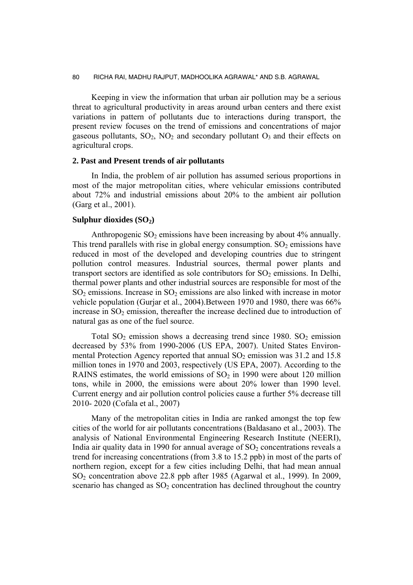Keeping in view the information that urban air pollution may be a serious threat to agricultural productivity in areas around urban centers and there exist variations in pattern of pollutants due to interactions during transport, the present review focuses on the trend of emissions and concentrations of major gaseous pollutants,  $SO_2$ ,  $NO_2$  and secondary pollutant  $O_3$  and their effects on agricultural crops.

## **2. Past and Present trends of air pollutants**

 In India, the problem of air pollution has assumed serious proportions in most of the major metropolitan cities, where vehicular emissions contributed about 72% and industrial emissions about 20% to the ambient air pollution (Garg et al., 2001).

## Sulphur dioxides (SO<sub>2</sub>)

Anthropogenic  $SO_2$  emissions have been increasing by about 4% annually. This trend parallels with rise in global energy consumption.  $SO<sub>2</sub>$  emissions have reduced in most of the developed and developing countries due to stringent pollution control measures. Industrial sources, thermal power plants and transport sectors are identified as sole contributors for  $SO<sub>2</sub>$  emissions. In Delhi, thermal power plants and other industrial sources are responsible for most of the  $SO<sub>2</sub>$  emissions. Increase in  $SO<sub>2</sub>$  emissions are also linked with increase in motor vehicle population (Gurjar et al., 2004).Between 1970 and 1980, there was 66% increase in  $SO<sub>2</sub>$  emission, thereafter the increase declined due to introduction of natural gas as one of the fuel source.

Total  $SO_2$  emission shows a decreasing trend since 1980.  $SO_2$  emission decreased by 53% from 1990-2006 (US EPA, 2007). United States Environmental Protection Agency reported that annual  $SO<sub>2</sub>$  emission was 31.2 and 15.8 million tones in 1970 and 2003, respectively (US EPA, 2007). According to the RAINS estimates, the world emissions of  $SO<sub>2</sub>$  in 1990 were about 120 million tons, while in 2000, the emissions were about 20% lower than 1990 level. Current energy and air pollution control policies cause a further 5% decrease till 2010- 2020 (Cofala et al., 2007)

 Many of the metropolitan cities in India are ranked amongst the top few cities of the world for air pollutants concentrations (Baldasano et al., 2003). The analysis of National Environmental Engineering Research Institute (NEERI), India air quality data in 1990 for annual average of  $SO<sub>2</sub>$  concentrations reveals a trend for increasing concentrations (from 3.8 to 15.2 ppb) in most of the parts of northern region, except for a few cities including Delhi, that had mean annual SO2 concentration above 22.8 ppb after 1985 (Agarwal et al., 1999). In 2009, scenario has changed as  $SO<sub>2</sub>$  concentration has declined throughout the country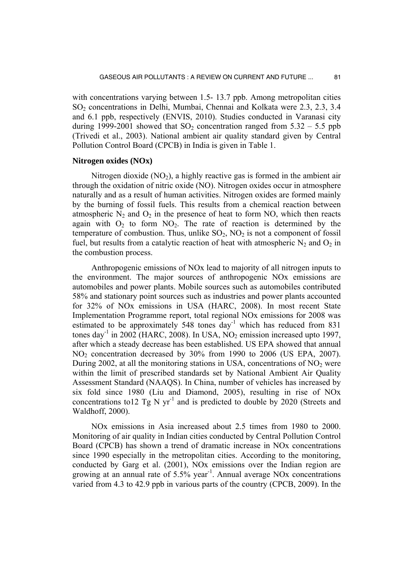with concentrations varying between 1.5- 13.7 ppb. Among metropolitan cities SO<sub>2</sub> concentrations in Delhi, Mumbai, Chennai and Kolkata were 2.3, 2.3, 3.4 and 6.1 ppb, respectively (ENVIS, 2010). Studies conducted in Varanasi city during 1999-2001 showed that SO<sub>2</sub> concentration ranged from  $5.32 - 5.5$  ppb (Trivedi et al., 2003). National ambient air quality standard given by Central Pollution Control Board (CPCB) in India is given in Table 1.

## **Nitrogen oxides (NOx)**

Nitrogen dioxide  $(NO<sub>2</sub>)$ , a highly reactive gas is formed in the ambient air through the oxidation of nitric oxide (NO). Nitrogen oxides occur in atmosphere naturally and as a result of human activities. Nitrogen oxides are formed mainly by the burning of fossil fuels. This results from a chemical reaction between atmospheric  $N_2$  and  $O_2$  in the presence of heat to form NO, which then reacts again with  $O_2$  to form  $NO_2$ . The rate of reaction is determined by the temperature of combustion. Thus, unlike  $SO_2$ ,  $NO_2$  is not a component of fossil fuel, but results from a catalytic reaction of heat with atmospheric  $N_2$  and  $O_2$  in the combustion process.

 Anthropogenic emissions of NOx lead to majority of all nitrogen inputs to the environment. The major sources of anthropogenic NOx emissions are automobiles and power plants. Mobile sources such as automobiles contributed 58% and stationary point sources such as industries and power plants accounted for 32% of NOx emissions in USA (HARC, 2008). In most recent State Implementation Programme report, total regional NOx emissions for 2008 was estimated to be approximately  $548$  tones day<sup>-1</sup> which has reduced from 831 tones day<sup>-1</sup> in 2002 (HARC, 2008). In USA,  $NO<sub>2</sub>$  emission increased upto 1997, after which a steady decrease has been established. US EPA showed that annual NO<sub>2</sub> concentration decreased by 30% from 1990 to 2006 (US EPA, 2007). During 2002, at all the monitoring stations in USA, concentrations of  $NO<sub>2</sub>$  were within the limit of prescribed standards set by National Ambient Air Quality Assessment Standard (NAAQS). In China, number of vehicles has increased by six fold since 1980 (Liu and Diamond, 2005), resulting in rise of NOx concentrations to 12 Tg N yr<sup>-1</sup> and is predicted to double by 2020 (Streets and Waldhoff, 2000).

 NOx emissions in Asia increased about 2.5 times from 1980 to 2000. Monitoring of air quality in Indian cities conducted by Central Pollution Control Board (CPCB) has shown a trend of dramatic increase in NOx concentrations since 1990 especially in the metropolitan cities. According to the monitoring, conducted by Garg et al. (2001), NOx emissions over the Indian region are growing at an annual rate of  $5.5\%$  year<sup>-1</sup>. Annual average NO<sub>x</sub> concentrations varied from 4.3 to 42.9 ppb in various parts of the country (CPCB, 2009). In the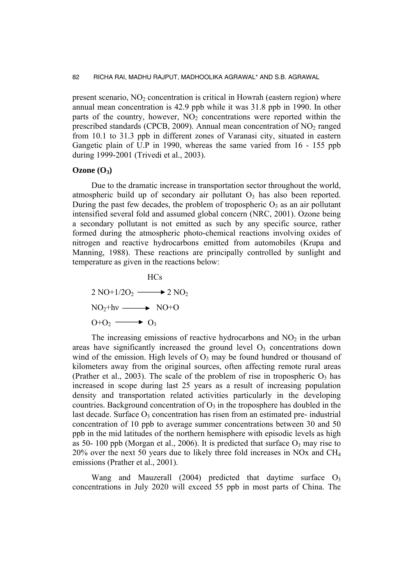present scenario,  $NO<sub>2</sub>$  concentration is critical in Howrah (eastern region) where annual mean concentration is 42.9 ppb while it was 31.8 ppb in 1990. In other parts of the country, however,  $NO<sub>2</sub>$  concentrations were reported within the prescribed standards (CPCB, 2009). Annual mean concentration of  $NO<sub>2</sub>$  ranged from 10.1 to 31.3 ppb in different zones of Varanasi city, situated in eastern Gangetic plain of U.P in 1990, whereas the same varied from 16 - 155 ppb during 1999-2001 (Trivedi et al., 2003).

#### $Ozone (O<sub>3</sub>)$

 Due to the dramatic increase in transportation sector throughout the world, atmospheric build up of secondary air pollutant  $O<sub>3</sub>$  has also been reported. During the past few decades, the problem of tropospheric  $O_3$  as an air pollutant intensified several fold and assumed global concern (NRC, 2001). Ozone being a secondary pollutant is not emitted as such by any specific source, rather formed during the atmospheric photo-chemical reactions involving oxides of nitrogen and reactive hydrocarbons emitted from automobiles (Krupa and Manning, 1988). These reactions are principally controlled by sunlight and temperature as given in the reactions below:

**HCs**  $2 \text{ NO}+1/2\text{O}_2 \longrightarrow 2 \text{ NO}_2$  $NO<sub>2</sub>+hv \longrightarrow NO+O$  $O+O_2 \longrightarrow O_3$ 

The increasing emissions of reactive hydrocarbons and  $NO<sub>2</sub>$  in the urban areas have significantly increased the ground level  $O<sub>3</sub>$  concentrations down wind of the emission. High levels of  $O_3$  may be found hundred or thousand of kilometers away from the original sources, often affecting remote rural areas (Prather et al., 2003). The scale of the problem of rise in tropospheric  $O_3$  has increased in scope during last 25 years as a result of increasing population density and transportation related activities particularly in the developing countries. Background concentration of  $O<sub>3</sub>$  in the troposphere has doubled in the last decade. Surface  $O_3$  concentration has risen from an estimated pre- industrial concentration of 10 ppb to average summer concentrations between 30 and 50 ppb in the mid latitudes of the northern hemisphere with episodic levels as high as 50- 100 ppb (Morgan et al., 2006). It is predicted that surface  $O_3$  may rise to 20% over the next 50 years due to likely three fold increases in NOx and CH4 emissions (Prather et al., 2001).

Wang and Mauzerall (2004) predicted that daytime surface  $O_3$ concentrations in July 2020 will exceed 55 ppb in most parts of China. The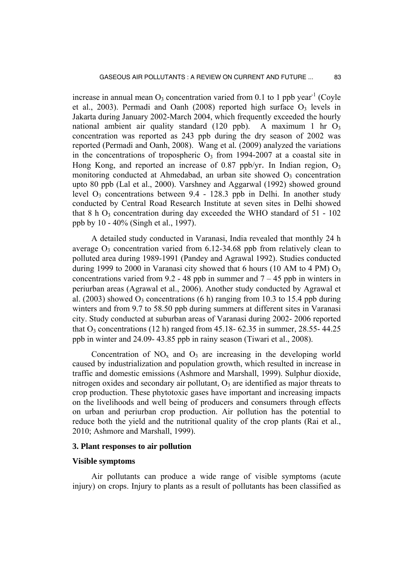increase in annual mean  $O_3$  concentration varied from 0.1 to 1 ppb year<sup>-1</sup> (Coyle et al., 2003). Permadi and Oanh (2008) reported high surface  $O_3$  levels in Jakarta during January 2002-March 2004, which frequently exceeded the hourly national ambient air quality standard (120 ppb). A maximum 1 hr  $O<sub>3</sub>$ concentration was reported as 243 ppb during the dry season of 2002 was reported (Permadi and Oanh, 2008). Wang et al*.* (2009) analyzed the variations in the concentrations of tropospheric  $O_3$  from 1994-2007 at a coastal site in Hong Kong, and reported an increase of 0.87 ppb/vr. In Indian region,  $O_3$ monitoring conducted at Ahmedabad, an urban site showed  $O_3$  concentration upto 80 ppb (Lal et al., 2000). Varshney and Aggarwal (1992) showed ground level  $O_3$  concentrations between 9.4 - 128.3 ppb in Delhi. In another study conducted by Central Road Research Institute at seven sites in Delhi showed that  $8 \text{ h O}_3$  concentration during day exceeded the WHO standard of  $51 - 102$ ppb by 10 - 40% (Singh et al., 1997).

 A detailed study conducted in Varanasi, India revealed that monthly 24 h average  $O_3$  concentration varied from 6.12-34.68 ppb from relatively clean to polluted area during 1989-1991 (Pandey and Agrawal 1992). Studies conducted during 1999 to 2000 in Varanasi city showed that 6 hours (10 AM to 4 PM)  $O_3$ concentrations varied from 9.2 - 48 ppb in summer and  $7 - 45$  ppb in winters in periurban areas (Agrawal et al., 2006). Another study conducted by Agrawal et al. (2003) showed  $O_3$  concentrations (6 h) ranging from 10.3 to 15.4 ppb during winters and from 9.7 to 58.50 ppb during summers at different sites in Varanasi city. Study conducted at suburban areas of Varanasi during 2002- 2006 reported that  $O_3$  concentrations (12 h) ranged from 45.18- 62.35 in summer, 28.55- 44.25 ppb in winter and 24.09- 43.85 ppb in rainy season (Tiwari et al., 2008).

Concentration of  $NO<sub>x</sub>$  and  $O<sub>3</sub>$  are increasing in the developing world caused by industrialization and population growth, which resulted in increase in traffic and domestic emissions (Ashmore and Marshall, 1999). Sulphur dioxide, nitrogen oxides and secondary air pollutant,  $O_3$  are identified as major threats to crop production. These phytotoxic gases have important and increasing impacts on the livelihoods and well being of producers and consumers through effects on urban and periurban crop production. Air pollution has the potential to reduce both the yield and the nutritional quality of the crop plants (Rai et al., 2010; Ashmore and Marshall, 1999).

#### **3. Plant responses to air pollution**

## **Visible symptoms**

 Air pollutants can produce a wide range of visible symptoms (acute injury) on crops. Injury to plants as a result of pollutants has been classified as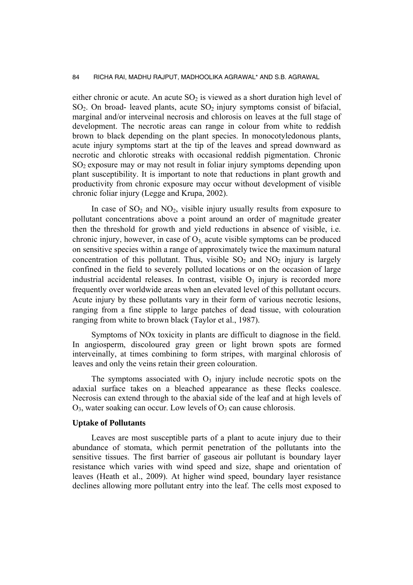either chronic or acute. An acute  $SO<sub>2</sub>$  is viewed as a short duration high level of  $SO<sub>2</sub>$ . On broad- leaved plants, acute  $SO<sub>2</sub>$  injury symptoms consist of bifacial, marginal and/or interveinal necrosis and chlorosis on leaves at the full stage of development. The necrotic areas can range in colour from white to reddish brown to black depending on the plant species. In monocotyledonous plants, acute injury symptoms start at the tip of the leaves and spread downward as necrotic and chlorotic streaks with occasional reddish pigmentation. Chronic SO<sub>2</sub> exposure may or may not result in foliar injury symptoms depending upon plant susceptibility. It is important to note that reductions in plant growth and productivity from chronic exposure may occur without development of visible chronic foliar injury (Legge and Krupa, 2002).

In case of  $SO_2$  and  $NO_2$ , visible injury usually results from exposure to pollutant concentrations above a point around an order of magnitude greater then the threshold for growth and yield reductions in absence of visible, i.e. chronic injury, however, in case of  $O_3$  acute visible symptoms can be produced on sensitive species within a range of approximately twice the maximum natural concentration of this pollutant. Thus, visible  $SO_2$  and  $NO_2$  injury is largely confined in the field to severely polluted locations or on the occasion of large industrial accidental releases. In contrast, visible  $O<sub>3</sub>$  injury is recorded more frequently over worldwide areas when an elevated level of this pollutant occurs. Acute injury by these pollutants vary in their form of various necrotic lesions, ranging from a fine stipple to large patches of dead tissue, with colouration ranging from white to brown black (Taylor et al., 1987).

 Symptoms of NOx toxicity in plants are difficult to diagnose in the field. In angiosperm, discoloured gray green or light brown spots are formed interveinally, at times combining to form stripes, with marginal chlorosis of leaves and only the veins retain their green colouration.

The symptoms associated with  $O_3$  injury include necrotic spots on the adaxial surface takes on a bleached appearance as these flecks coalesce. Necrosis can extend through to the abaxial side of the leaf and at high levels of  $O_3$ , water soaking can occur. Low levels of  $O_3$  can cause chlorosis.

## **Uptake of Pollutants**

 Leaves are most susceptible parts of a plant to acute injury due to their abundance of stomata, which permit penetration of the pollutants into the sensitive tissues. The first barrier of gaseous air pollutant is boundary layer resistance which varies with wind speed and size, shape and orientation of leaves (Heath et al., 2009). At higher wind speed, boundary layer resistance declines allowing more pollutant entry into the leaf. The cells most exposed to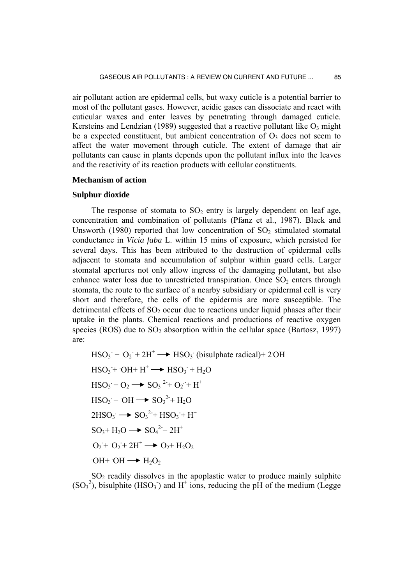air pollutant action are epidermal cells, but waxy cuticle is a potential barrier to most of the pollutant gases. However, acidic gases can dissociate and react with cuticular waxes and enter leaves by penetrating through damaged cuticle. Kersteins and Lendzian (1989) suggested that a reactive pollutant like  $O_3$  might be a expected constituent, but ambient concentration of  $O_3$  does not seem to affect the water movement through cuticle. The extent of damage that air pollutants can cause in plants depends upon the pollutant influx into the leaves and the reactivity of its reaction products with cellular constituents.

## **Mechanism of action**

#### **Sulphur dioxide**

The response of stomata to  $SO_2$  entry is largely dependent on leaf age, concentration and combination of pollutants (Pfanz et al., 1987). Black and Unsworth (1980) reported that low concentration of  $SO<sub>2</sub>$  stimulated stomatal conductance in *Vicia faba* L. within 15 mins of exposure, which persisted for several days. This has been attributed to the destruction of epidermal cells adjacent to stomata and accumulation of sulphur within guard cells. Larger stomatal apertures not only allow ingress of the damaging pollutant, but also enhance water loss due to unrestricted transpiration. Once  $SO<sub>2</sub>$  enters through stomata, the route to the surface of a nearby subsidiary or epidermal cell is very short and therefore, the cells of the epidermis are more susceptible. The detrimental effects of  $SO<sub>2</sub>$  occur due to reactions under liquid phases after their uptake in the plants. Chemical reactions and productions of reactive oxygen species (ROS) due to  $SO_2$  absorption within the cellular space (Bartosz, 1997) are:

$$
HSO_3^- + O_2^- + 2H^+ \longrightarrow HSO_3
$$
 (bisulphate radical)+ 2<sup>o</sup>OH  
\n
$$
HSO_3 + OH + H^+ \longrightarrow HSO_3^- + H_2O
$$
  
\n
$$
HSO_3 + O_2 \longrightarrow SO_3^2 + O_2^- + H^+
$$
  
\n
$$
HSO_3 + OH \longrightarrow SO_3^2 + H_2O
$$
  
\n
$$
2HSO_3 \longrightarrow SO_3^2 + HSO_3^- + H^+
$$
  
\n
$$
SO_3 + H_2O \longrightarrow SO_4^2 + 2H^+
$$
  
\n
$$
O_2 + O_2 + 2H^+ \longrightarrow O_2 + H_2O_2
$$
  
\n
$$
OH + OH \longrightarrow H_2O_2
$$

 $SO<sub>2</sub>$  readily dissolves in the apoplastic water to produce mainly sulphite  $(SO<sub>3</sub><sup>2</sup>)$ , bisulphite (HSO<sub>3</sub>) and H<sup>+</sup> ions, reducing the pH of the medium (Legge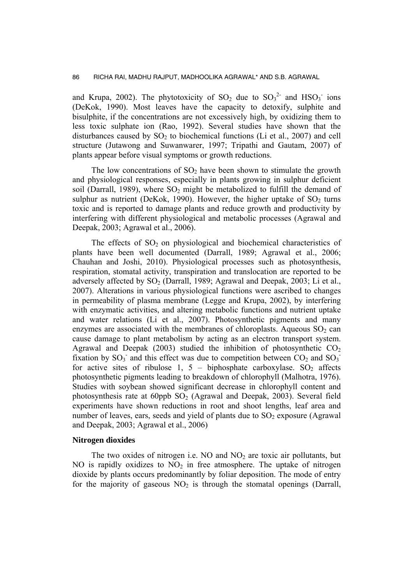and Krupa, 2002). The phytotoxicity of  $SO_2$  due to  $SO_3^2$  and  $HSO_3^-$  ions (DeKok, 1990). Most leaves have the capacity to detoxify, sulphite and bisulphite, if the concentrations are not excessively high, by oxidizing them to less toxic sulphate ion (Rao, 1992). Several studies have shown that the disturbances caused by  $SO<sub>2</sub>$  to biochemical functions (Li et al., 2007) and cell structure (Jutawong and Suwanwarer, 1997; Tripathi and Gautam, 2007) of plants appear before visual symptoms or growth reductions.

The low concentrations of  $SO_2$  have been shown to stimulate the growth and physiological responses, especially in plants growing in sulphur deficient soil (Darrall, 1989), where  $SO<sub>2</sub>$  might be metabolized to fulfill the demand of sulphur as nutrient (DeKok, 1990). However, the higher uptake of  $SO<sub>2</sub>$  turns toxic and is reported to damage plants and reduce growth and productivity by interfering with different physiological and metabolic processes (Agrawal and Deepak, 2003; Agrawal et al., 2006).

The effects of  $SO<sub>2</sub>$  on physiological and biochemical characteristics of plants have been well documented (Darrall, 1989; Agrawal et al., 2006; Chauhan and Joshi, 2010). Physiological processes such as photosynthesis, respiration, stomatal activity, transpiration and translocation are reported to be adversely affected by  $SO_2$  (Darrall, 1989; Agrawal and Deepak, 2003; Li et al., 2007). Alterations in various physiological functions were ascribed to changes in permeability of plasma membrane (Legge and Krupa, 2002), by interfering with enzymatic activities, and altering metabolic functions and nutrient uptake and water relations (Li et al., 2007). Photosynthetic pigments and many enzymes are associated with the membranes of chloroplasts. Aqueous  $SO<sub>2</sub>$  can cause damage to plant metabolism by acting as an electron transport system. Agrawal and Deepak (2003) studied the inhibition of photosynthetic  $CO<sub>2</sub>$ fixation by  $SO_3$  and this effect was due to competition between  $CO_2$  and  $SO_3$ for active sites of ribulose 1,  $5 -$  biphosphate carboxylase. SO<sub>2</sub> affects photosynthetic pigments leading to breakdown of chlorophyll (Malhotra, 1976). Studies with soybean showed significant decrease in chlorophyll content and photosynthesis rate at  $60$ ppb  $SO<sub>2</sub>$  (Agrawal and Deepak, 2003). Several field experiments have shown reductions in root and shoot lengths, leaf area and number of leaves, ears, seeds and yield of plants due to  $SO<sub>2</sub>$  exposure (Agrawal and Deepak, 2003; Agrawal et al., 2006)

#### **Nitrogen dioxides**

The two oxides of nitrogen i.e. NO and  $NO<sub>2</sub>$  are toxic air pollutants, but NO is rapidly oxidizes to  $NO<sub>2</sub>$  in free atmosphere. The uptake of nitrogen dioxide by plants occurs predominantly by foliar deposition. The mode of entry for the majority of gaseous  $NO<sub>2</sub>$  is through the stomatal openings (Darrall,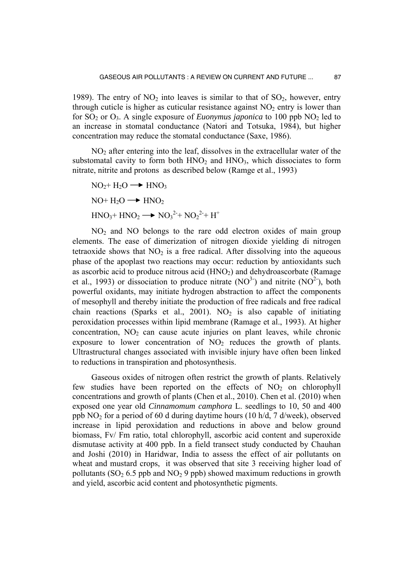1989). The entry of  $NO<sub>2</sub>$  into leaves is similar to that of  $SO<sub>2</sub>$ , however, entry through cuticle is higher as cuticular resistance against  $NO<sub>2</sub>$  entry is lower than for  $SO_2$  or  $O_3$ . A single exposure of *Euonymus japonica* to 100 ppb  $NO_2$  led to an increase in stomatal conductance (Natori and Totsuka, 1984), but higher concentration may reduce the stomatal conductance (Saxe, 1986).

 $NO<sub>2</sub>$  after entering into the leaf, dissolves in the extracellular water of the substomatal cavity to form both  $HNO<sub>2</sub>$  and  $HNO<sub>3</sub>$ , which dissociates to form nitrate, nitrite and protons as described below (Ramge et al., 1993)

$$
NO2+H2O \longrightarrow HNO3
$$
  
NO+H<sub>2</sub>O \longrightarrow HNO<sub>2</sub>  
HNO<sub>3</sub>+HNO<sub>2</sub> \longrightarrow NO<sub>3</sub><sup>2</sup>+NO<sub>2</sub><sup>2</sup>+H<sup>+</sup>

 $NO<sub>2</sub>$  and NO belongs to the rare odd electron oxides of main group elements. The ease of dimerization of nitrogen dioxide yielding di nitrogen tetraoxide shows that  $NO<sub>2</sub>$  is a free radical. After dissolving into the aqueous phase of the apoplast two reactions may occur: reduction by antioxidants such as ascorbic acid to produce nitrous acid  $(HNO<sub>2</sub>)$  and dehydroascorbate (Ramage et al., 1993) or dissociation to produce nitrate  $(NO^3)$  and nitrite  $(NO^2)$ , both powerful oxidants, may initiate hydrogen abstraction to affect the components of mesophyll and thereby initiate the production of free radicals and free radical chain reactions (Sparks et al., 2001). NO<sub>2</sub> is also capable of initiating peroxidation processes within lipid membrane (Ramage et al., 1993). At higher concentration,  $NO<sub>2</sub>$  can cause acute injuries on plant leaves, while chronic exposure to lower concentration of  $NO<sub>2</sub>$  reduces the growth of plants. Ultrastructural changes associated with invisible injury have often been linked to reductions in transpiration and photosynthesis.

 Gaseous oxides of nitrogen often restrict the growth of plants. Relatively few studies have been reported on the effects of  $NO<sub>2</sub>$  on chlorophyll concentrations and growth of plants (Chen et al., 2010). Chen et al. (2010) when exposed one year old *Cinnamomum camphora* L. seedlings to 10, 50 and 400 ppb  $NO<sub>2</sub>$  for a period of 60 d during daytime hours (10 h/d, 7 d/week), observed increase in lipid peroxidation and reductions in above and below ground biomass, Fv/ Fm ratio, total chlorophyll, ascorbic acid content and superoxide dismutase activity at 400 ppb. In a field transect study conducted by Chauhan and Joshi (2010) in Haridwar, India to assess the effect of air pollutants on wheat and mustard crops, it was observed that site 3 receiving higher load of pollutants  $(SO<sub>2</sub> 6.5$  ppb and  $NO<sub>2</sub> 9$  ppb) showed maximum reductions in growth and yield, ascorbic acid content and photosynthetic pigments.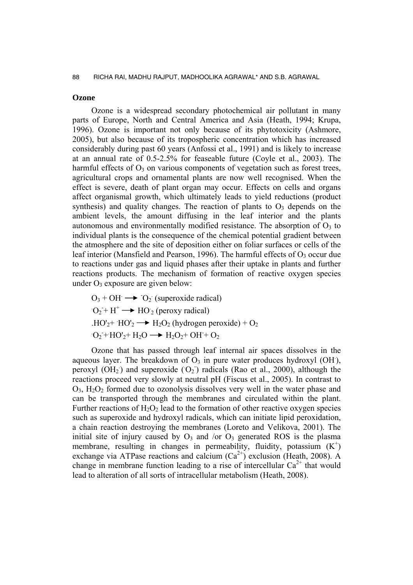## **Ozone**

 Ozone is a widespread secondary photochemical air pollutant in many parts of Europe, North and Central America and Asia (Heath, 1994; Krupa, 1996). Ozone is important not only because of its phytotoxicity (Ashmore, 2005), but also because of its tropospheric concentration which has increased considerably during past 60 years (Anfossi et al., 1991) and is likely to increase at an annual rate of 0.5-2.5% for feaseable future (Coyle et al., 2003). The harmful effects of  $O_3$  on various components of vegetation such as forest trees, agricultural crops and ornamental plants are now well recognised. When the effect is severe, death of plant organ may occur. Effects on cells and organs affect organismal growth, which ultimately leads to yield reductions (product synthesis) and quality changes. The reaction of plants to  $O_3$  depends on the ambient levels, the amount diffusing in the leaf interior and the plants autonomous and environmentally modified resistance. The absorption of  $O_3$  to individual plants is the consequence of the chemical potential gradient between the atmosphere and the site of deposition either on foliar surfaces or cells of the leaf interior (Mansfield and Pearson, 1996). The harmful effects of  $O_3$  occur due to reactions under gas and liquid phases after their uptake in plants and further reactions products. The mechanism of formation of reactive oxygen species under  $O_3$  exposure are given below:

 $O_3 + OH \rightarrow O_2$  (superoxide radical)  $O_2 + H^+ \longrightarrow HO_2$  (peroxy radical)  $HO'_{2}$ +  $HO'_{2}$   $\longrightarrow$   $H_{2}O_{2}$  (hydrogen peroxide) + O<sub>2</sub>  $O_2$ +HO'<sub>2</sub>+ H<sub>2</sub>O  $\longrightarrow$  H<sub>2</sub>O<sub>2</sub>+ OH + O<sub>2</sub>

 Ozone that has passed through leaf internal air spaces dissolves in the aqueous layer. The breakdown of  $O_3$  in pure water produces hydroxyl (OH), peroxyl  $(OH<sub>2</sub>)$  and superoxide  $(O<sub>2</sub>)$  radicals (Rao et al., 2000), although the reactions proceed very slowly at neutral pH (Fiscus et al., 2005). In contrast to  $O_3$ ,  $H_2O_2$  formed due to ozonolysis dissolves very well in the water phase and can be transported through the membranes and circulated within the plant. Further reactions of  $H_2O_2$  lead to the formation of other reactive oxygen species such as superoxide and hydroxyl radicals, which can initiate lipid peroxidation, a chain reaction destroying the membranes (Loreto and Velikova, 2001). The initial site of injury caused by  $O_3$  and /or  $O_3$  generated ROS is the plasma membrane, resulting in changes in permeability, fluidity, potassium  $(K^+)$ exchange via ATPase reactions and calcium  $(Ca^{2+})$  exclusion (Heath, 2008). A change in membrane function leading to a rise of intercellular  $Ca^{2+}$  that would lead to alteration of all sorts of intracellular metabolism (Heath, 2008).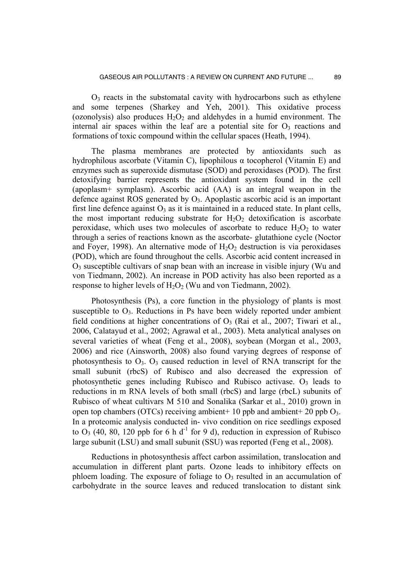$O<sub>3</sub>$  reacts in the substomatal cavity with hydrocarbons such as ethylene and some terpenes (Sharkey and Yeh, 2001). This oxidative process (ozonolysis) also produces  $H_2O_2$  and aldehydes in a humid environment. The internal air spaces within the leaf are a potential site for  $O_3$  reactions and formations of toxic compound within the cellular spaces (Heath, 1994).

 The plasma membranes are protected by antioxidants such as hydrophilous ascorbate (Vitamin C), lipophilous α tocopherol (Vitamin E) and enzymes such as superoxide dismutase (SOD) and peroxidases (POD). The first detoxifying barrier represents the antioxidant system found in the cell (apoplasm+ symplasm). Ascorbic acid (AA) is an integral weapon in the defence against ROS generated by  $O_3$ . Apoplastic ascorbic acid is an important first line defence against  $O_3$  as it is maintained in a reduced state. In plant cells, the most important reducing substrate for  $H_2O_2$  detoxification is ascorbate peroxidase, which uses two molecules of ascorbate to reduce  $H_2O_2$  to water through a series of reactions known as the ascorbate- glutathione cycle (Noctor and Foyer, 1998). An alternative mode of  $H_2O_2$  destruction is via peroxidases (POD), which are found throughout the cells. Ascorbic acid content increased in  $O<sub>3</sub>$  susceptible cultivars of snap bean with an increase in visible injury (Wu and von Tiedmann, 2002). An increase in POD activity has also been reported as a response to higher levels of  $H_2O_2$  (Wu and von Tiedmann, 2002).

 Photosynthesis (Ps), a core function in the physiology of plants is most susceptible to  $O_3$ . Reductions in Ps have been widely reported under ambient field conditions at higher concentrations of  $O_3$  (Rai et al., 2007; Tiwari et al., 2006, Calatayud et al., 2002; Agrawal et al., 2003). Meta analytical analyses on several varieties of wheat (Feng et al., 2008), soybean (Morgan et al., 2003, 2006) and rice (Ainsworth, 2008) also found varying degrees of response of photosynthesis to  $O_3$ .  $O_3$  caused reduction in level of RNA transcript for the small subunit (rbcS) of Rubisco and also decreased the expression of photosynthetic genes including Rubisco and Rubisco activase.  $O_3$  leads to reductions in m RNA levels of both small (rbcS) and large (rbcL) subunits of Rubisco of wheat cultivars M 510 and Sonalika (Sarkar et al., 2010) grown in open top chambers (OTCs) receiving ambient + 10 ppb and ambient + 20 ppb  $O_3$ . In a proteomic analysis conducted in- vivo condition on rice seedlings exposed to  $O_3$  (40, 80, 120 ppb for 6 h d<sup>-1</sup> for 9 d), reduction in expression of Rubisco large subunit (LSU) and small subunit (SSU) was reported (Feng et al., 2008).

 Reductions in photosynthesis affect carbon assimilation, translocation and accumulation in different plant parts. Ozone leads to inhibitory effects on phloem loading. The exposure of foliage to  $O_3$  resulted in an accumulation of carbohydrate in the source leaves and reduced translocation to distant sink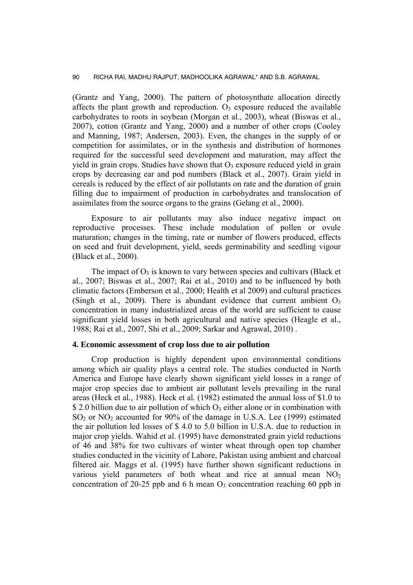(Grantz and Yang, 2000). The pattern of photosynthate allocation directly affects the plant growth and reproduction.  $O_3$  exposure reduced the available carbohydrates to roots in soybean (Morgan et al., 2003), wheat (Biswas et al., 2007), cotton (Grantz and Yang, 2000) and a number of other crops (Cooley and Manning, 1987; Andersen, 2003). Even, the changes in the supply of or competition for assimilates, or in the synthesis and distribution of hormones required for the successful seed development and maturation, may affect the yield in grain crops. Studies have shown that  $O_3$  exposure reduced yield in grain crops by decreasing ear and pod numbers (Black et al., 2007). Grain yield in cereals is reduced by the effect of air pollutants on rate and the duration of grain filling due to impairment of production in carbohydrates and translocation of assimilates from the source organs to the grains (Gelang et al., 2000).

 Exposure to air pollutants may also induce negative impact on reproductive processes. These include modulation of pollen or ovule maturation; changes in the timing, rate or number of flowers produced, effects on seed and fruit development, yield, seeds germinability and seedling vigour (Black et al., 2000).

The impact of  $O_3$  is known to vary between species and cultivars (Black et al., 2007; Biswas et al., 2007; Rai et al., 2010) and to be influenced by both climatic factors (Emberson et al., 2000; Health et al 2009) and cultural practices (Singh et al., 2009). There is abundant evidence that current ambient  $O_3$ concentration in many industrialized areas of the world are sufficient to cause significant yield losses in both agricultural and native species (Heagle et al., 1988; Rai et al., 2007, Shi et al., 2009; Sarkar and Agrawal, 2010) .

## **4. Economic assessment of crop loss due to air pollution**

 Crop production is highly dependent upon environmental conditions among which air quality plays a central role. The studies conducted in North America and Europe have clearly shown significant yield losses in a range of major crop species due to ambient air pollutant levels prevailing in the rural areas (Heck et al*.,* 1988). Heck et al*.* (1982) estimated the annual loss of \$1.0 to \$ 2.0 billion due to air pollution of which  $O_3$  either alone or in combination with  $SO<sub>2</sub>$  or NO<sub>2</sub> accounted for 90% of the damage in U.S.A. Lee (1999) estimated the air pollution led losses of \$ 4.0 to 5.0 billion in U.S.A. due to reduction in major crop yields. Wahid et al. (1995) have demonstrated grain yield reductions of 46 and 38% for two cultivars of winter wheat through open top chamber studies conducted in the vicinity of Lahore, Pakistan using ambient and charcoal filtered air. Maggs et al. (1995) have further shown significant reductions in various yield parameters of both wheat and rice at annual mean  $NO<sub>2</sub>$ concentration of 20-25 ppb and 6 h mean  $O_3$  concentration reaching 60 ppb in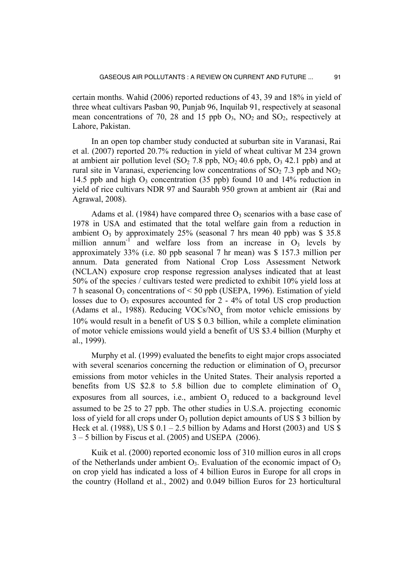certain months. Wahid (2006) reported reductions of 43, 39 and 18% in yield of three wheat cultivars Pasban 90, Punjab 96, Inquilab 91, respectively at seasonal mean concentrations of 70, 28 and 15 ppb  $O_3$ ,  $NO_2$  and  $SO_2$ , respectively at Lahore, Pakistan.

 In an open top chamber study conducted at suburban site in Varanasi, Rai et al. (2007) reported 20.7% reduction in yield of wheat cultivar M 234 grown at ambient air pollution level  $(SO<sub>2</sub> 7.8$  ppb,  $NO<sub>2</sub> 40.6$  ppb,  $O<sub>3</sub> 42.1$  ppb) and at rural site in Varanasi, experiencing low concentrations of  $SO<sub>2</sub> 7.3$  ppb and  $NO<sub>2</sub>$ 14.5 ppb and high  $O_3$  concentration (35 ppb) found 10 and 14% reduction in yield of rice cultivars NDR 97 and Saurabh 950 grown at ambient air (Rai and Agrawal, 2008).

Adams et al. (1984) have compared three  $O_3$  scenarios with a base case of 1978 in USA and estimated that the total welfare gain from a reduction in ambient  $O_3$  by approximately 25% (seasonal 7 hrs mean 40 ppb) was \$ 35.8 million annum<sup>-1</sup> and welfare loss from an increase in  $O_3$  levels by approximately 33% (i.e. 80 ppb seasonal 7 hr mean) was \$ 157.3 million per annum. Data generated from National Crop Loss Assessment Network (NCLAN) exposure crop response regression analyses indicated that at least 50% of the species / cultivars tested were predicted to exhibit 10% yield loss at 7 h seasonal  $O_3$  concentrations of < 50 ppb (USEPA, 1996). Estimation of yield losses due to  $O_3$  exposures accounted for  $2 - 4\%$  of total US crop production (Adams et al., 1988). Reducing  $VOCs/NO<sub>x</sub>$  from motor vehicle emissions by 10% would result in a benefit of US \$ 0.3 billion, while a complete elimination of motor vehicle emissions would yield a benefit of US \$3.4 billion (Murphy et al., 1999).

 Murphy et al. (1999) evaluated the benefits to eight major crops associated with several scenarios concerning the reduction or elimination of  $O<sub>3</sub>$  precursor emissions from motor vehicles in the United States. Their analysis reported a benefits from US \$2.8 to 5.8 billion due to complete elimination of  $O<sub>3</sub>$ exposures from all sources, i.e., ambient  $O<sub>3</sub>$  reduced to a background level assumed to be 25 to 27 ppb. The other studies in U.S.A. projecting economic loss of yield for all crops under  $O_3$  pollution depict amounts of US \$ 3 billion by Heck et al. (1988), US  $$ 0.1 - 2.5$  billion by Adams and Horst (2003) and US  $$$ 3 – 5 billion by Fiscus et al. (2005) and USEPA (2006).

 Kuik et al. (2000) reported economic loss of 310 million euros in all crops of the Netherlands under ambient  $O_3$ . Evaluation of the economic impact of  $O_3$ on crop yield has indicated a loss of 4 billion Euros in Europe for all crops in the country (Holland et al., 2002) and 0.049 billion Euros for 23 horticultural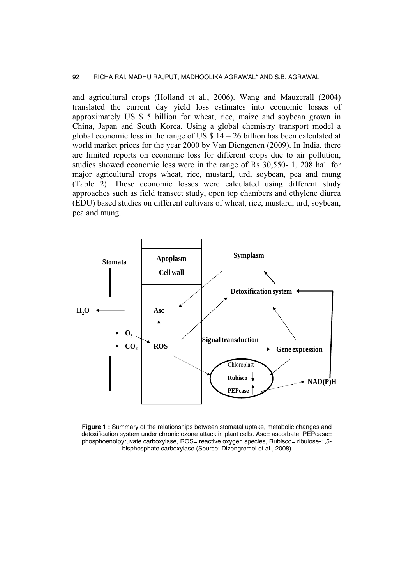and agricultural crops (Holland et al., 2006). Wang and Mauzerall (2004) translated the current day yield loss estimates into economic losses of approximately US \$ 5 billion for wheat, rice, maize and soybean grown in China, Japan and South Korea. Using a global chemistry transport model a global economic loss in the range of US  $$14 - 26$  billion has been calculated at world market prices for the year 2000 by Van Diengenen (2009). In India, there are limited reports on economic loss for different crops due to air pollution, studies showed economic loss were in the range of Rs  $30,550-1$ ,  $208 \text{ ha}^{-1}$  for major agricultural crops wheat, rice, mustard, urd, soybean, pea and mung (Table 2). These economic losses were calculated using different study approaches such as field transect study, open top chambers and ethylene diurea (EDU) based studies on different cultivars of wheat, rice, mustard, urd, soybean, pea and mung.



**Figure 1 :** Summary of the relationships between stomatal uptake, metabolic changes and detoxification system under chronic ozone attack in plant cells. Asc= ascorbate, PEPcase= phosphoenolpyruvate carboxylase, ROS= reactive oxygen species, Rubisco= ribulose-1,5bisphosphate carboxylase (Source: Dizengremel et al., 2008)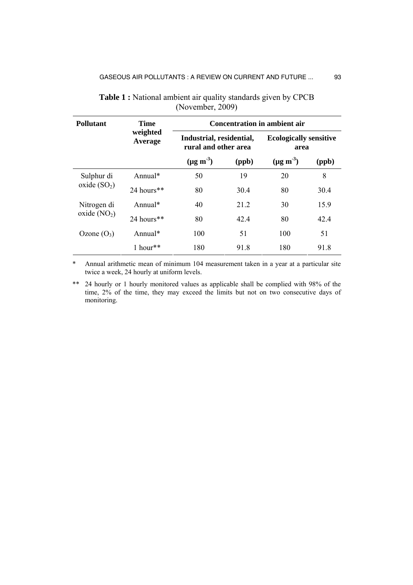| <b>Pollutant</b>             | <b>Time</b><br>weighted<br>Average | <b>Concentration in ambient air</b>              |       |                                       |       |  |
|------------------------------|------------------------------------|--------------------------------------------------|-------|---------------------------------------|-------|--|
|                              |                                    | Industrial, residential,<br>rural and other area |       | <b>Ecologically sensitive</b><br>area |       |  |
|                              |                                    | $(\mu g \, \text{m}^{-3})$                       | (ppb) | $(\mu g \text{ m}^{-3})$              | (ppb) |  |
| Sulphur di<br>oxide $(SO2)$  | Annual $*$                         | 50                                               | 19    | 20                                    | 8     |  |
|                              | $24$ hours**                       | 80                                               | 30.4  | 80                                    | 30.4  |  |
| Nitrogen di<br>oxide $(NO2)$ | Annual $*$                         | 40                                               | 21 2  | 30                                    | 15.9  |  |
|                              | 24 hours**                         | 80                                               | 42.4  | 80                                    | 42.4  |  |
| Ozone $(O_3)$                | Annual $*$                         | 100                                              | 51    | 100                                   | 51    |  |
|                              | 1 hour**                           | 180                                              | 91.8  | 180                                   | 91.8  |  |

**Table 1 :** National ambient air quality standards given by CPCB (November, 2009)

\* Annual arithmetic mean of minimum 104 measurement taken in a year at a particular site twice a week, 24 hourly at uniform levels.

\*\* 24 hourly or 1 hourly monitored values as applicable shall be complied with 98% of the time, 2% of the time, they may exceed the limits but not on two consecutive days of monitoring.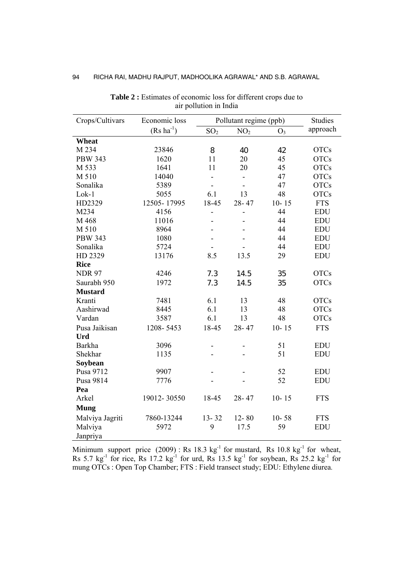| Crops/Cultivars | Economic loss          | Pollutant regime (ppb) |                 |                | <b>Studies</b> |
|-----------------|------------------------|------------------------|-----------------|----------------|----------------|
|                 | $(Rs \text{ ha}^{-1})$ | SO <sub>2</sub>        | NO <sub>2</sub> | O <sub>3</sub> | approach       |
| Wheat           |                        |                        |                 |                |                |
| M 234           | 23846                  | 8                      | 40              | 42             | <b>OTCs</b>    |
| <b>PBW 343</b>  | 1620                   | 11                     | 20              | 45             | <b>OTCs</b>    |
| M 533           | 1641                   | 11                     | 20              | 45             | <b>OTCs</b>    |
| M 510           | 14040                  | ۰                      | $\blacksquare$  | 47             | <b>OTCs</b>    |
| Sonalika        | 5389                   | $\blacksquare$         |                 | 47             | <b>OTCs</b>    |
| Lok-1           | 5055                   | 6.1                    | 13              | 48             | <b>OTCs</b>    |
| HD2329          | 12505-17995            | 18-45                  | $28 - 47$       | $10 - 15$      | <b>FTS</b>     |
| M234            | 4156                   |                        | -               | 44             | <b>EDU</b>     |
| M 468           | 11016                  |                        |                 | 44             | <b>EDU</b>     |
| M 510           | 8964                   |                        |                 | 44             | <b>EDU</b>     |
| <b>PBW 343</b>  | 1080                   |                        |                 | 44             | <b>EDU</b>     |
| Sonalika        | 5724                   |                        |                 | 44             | <b>EDU</b>     |
| HD 2329         | 13176                  | 8.5                    | 13.5            | 29             | <b>EDU</b>     |
| <b>Rice</b>     |                        |                        |                 |                |                |
| <b>NDR 97</b>   | 4246                   | 7.3                    | 14.5            | 35             | <b>OTCs</b>    |
| Saurabh 950     | 1972                   | 7.3                    | 14.5            | 35             | <b>OTCs</b>    |
| <b>Mustard</b>  |                        |                        |                 |                |                |
| Kranti          | 7481                   | 6.1                    | 13              | 48             | <b>OTCs</b>    |
| Aashirwad       | 8445                   | 6.1                    | 13              | 48             | <b>OTCs</b>    |
| Vardan          | 3587                   | 6.1                    | 13              | 48             | <b>OTCs</b>    |
| Pusa Jaikisan   | 1208-5453              | 18-45                  | $28 - 47$       | $10 - 15$      | <b>FTS</b>     |
| <b>Urd</b>      |                        |                        |                 |                |                |
| <b>Barkha</b>   | 3096                   |                        |                 | 51             | <b>EDU</b>     |
| Shekhar         | 1135                   |                        |                 | 51             | <b>EDU</b>     |
| Soybean         |                        |                        |                 |                |                |
| Pusa 9712       | 9907                   |                        |                 | 52             | <b>EDU</b>     |
| Pusa 9814       | 7776                   |                        |                 | 52             | <b>EDU</b>     |
| Pea             |                        |                        |                 |                |                |
| Arkel           | 19012-30550            | 18-45                  | 28-47           | $10 - 15$      | <b>FTS</b>     |
| <b>Mung</b>     |                        |                        |                 |                |                |
| Malviya Jagriti | 7860-13244             | $13 - 32$              | $12 - 80$       | $10 - 58$      | <b>FTS</b>     |
| Malviya         | 5972                   | 9                      | 17.5            | 59             | <b>EDU</b>     |
| Janpriya        |                        |                        |                 |                |                |

Table 2 : Estimates of economic loss for different crops due to air pollution in India

Minimum support price  $(2009)$ : Rs 18.3 kg<sup>-1</sup> for mustard, Rs 10.8 kg<sup>-1</sup> for wheat, Rs 5.7 kg<sup>-1</sup> for rice, Rs 17.2 kg<sup>-1</sup> for urd, Rs 13.5 kg<sup>-1</sup> for soybean, Rs 25.2 kg<sup>-1</sup> for mung OTCs : Open Top Chamber; FTS : Field transect study; EDU: Ethylene diurea.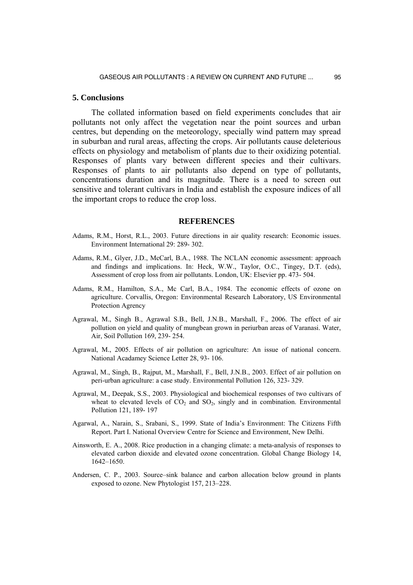#### **5. Conclusions**

 The collated information based on field experiments concludes that air pollutants not only affect the vegetation near the point sources and urban centres, but depending on the meteorology, specially wind pattern may spread in suburban and rural areas, affecting the crops. Air pollutants cause deleterious effects on physiology and metabolism of plants due to their oxidizing potential. Responses of plants vary between different species and their cultivars. Responses of plants to air pollutants also depend on type of pollutants, concentrations duration and its magnitude. There is a need to screen out sensitive and tolerant cultivars in India and establish the exposure indices of all the important crops to reduce the crop loss.

#### **REFERENCES**

- Adams, R.M., Horst, R.L., 2003. Future directions in air quality research: Economic issues. Environment International 29: 289- 302.
- Adams, R.M., Glyer, J.D., McCarl, B.A., 1988. The NCLAN economic assessment: approach and findings and implications. In: Heck, W.W., Taylor, O.C., Tingey, D.T. (eds), Assessment of crop loss from air pollutants. London, UK: Elsevier pp. 473- 504.
- Adams, R.M., Hamilton, S.A., Mc Carl, B.A., 1984. The economic effects of ozone on agriculture. Corvallis, Oregon: Environmental Research Laboratory, US Environmental Protection Agrency
- Agrawal, M., Singh B., Agrawal S.B., Bell, J.N.B., Marshall, F., 2006. The effect of air pollution on yield and quality of mungbean grown in periurban areas of Varanasi. Water, Air, Soil Pollution 169, 239- 254.
- Agrawal, M., 2005. Effects of air pollution on agriculture: An issue of national concern. National Acadamey Science Letter 28, 93- 106.
- Agrawal, M., Singh, B., Rajput, M., Marshall, F., Bell, J.N.B., 2003. Effect of air pollution on peri-urban agriculture: a case study. Environmental Pollution 126, 323- 329.
- Agrawal, M., Deepak, S.S., 2003. Physiological and biochemical responses of two cultivars of wheat to elevated levels of  $CO<sub>2</sub>$  and  $SO<sub>2</sub>$ , singly and in combination. Environmental Pollution 121, 189- 197
- Agarwal, A., Narain, S., Srabani, S., 1999. State of India's Environment: The Citizens Fifth Report. Part I. National Overview Centre for Science and Environment, New Delhi.
- Ainsworth, E. A., 2008. Rice production in a changing climate: a meta-analysis of responses to elevated carbon dioxide and elevated ozone concentration. Global Change Biology 14, 1642–1650.
- Andersen, C. P., 2003. Source–sink balance and carbon allocation below ground in plants exposed to ozone. New Phytologist 157, 213–228.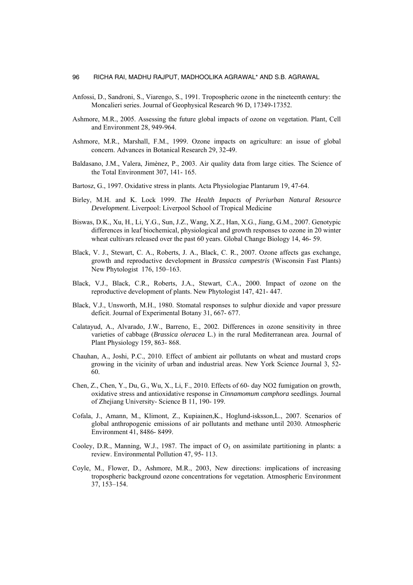- Anfossi, D., Sandroni, S., Viarengo, S., 1991. Tropospheric ozone in the nineteenth century: the Moncalieri series. Journal of Geophysical Research 96 D, 17349-17352.
- Ashmore, M.R., 2005. Assessing the future global impacts of ozone on vegetation. Plant, Cell and Environment 28, 949-964.
- Ashmore, M.R., Marshall, F.M., 1999. Ozone impacts on agriculture: an issue of global concern. Advances in Botanical Research 29, 32-49.
- Baldasano, J.M., Valera, Jimènez, P., 2003. Air quality data from large cities. The Science of the Total Environment 307, 141- 165.
- Bartosz, G., 1997. Oxidative stress in plants. Acta Physiologiae Plantarum 19, 47-64.
- Birley, M.H. and K. Lock 1999. *The Health Impacts of Periurban Natural Resource Development*. Liverpool: Liverpool School of Tropical Medicine
- Biswas, D.K., Xu, H., Li, Y.G., Sun, J.Z., Wang, X.Z., Han, X.G., Jiang, G.M., 2007. Genotypic differences in leaf biochemical, physiological and growth responses to ozone in 20 winter wheat cultivars released over the past 60 years. Global Change Biology 14, 46- 59.
- Black, V. J., Stewart, C. A., Roberts, J. A., Black, C. R., 2007. Ozone affects gas exchange, growth and reproductive development in *Brassica campestris* (Wisconsin Fast Plants) New Phytologist 176, 150–163.
- Black, V.J., Black, C.R., Roberts, J.A., Stewart, C.A., 2000. Impact of ozone on the reproductive development of plants. New Phytologist 147, 421- 447.
- Black, V.J., Unsworth, M.H., 1980. Stomatal responses to sulphur dioxide and vapor pressure deficit. Journal of Experimental Botany 31, 667- 677.
- Calatayud, A., Alvarado, J.W., Barreno, E., 2002. Differences in ozone sensitivity in three varieties of cabbage (*Brassica oleracea* L.) in the rural Mediterranean area. Journal of Plant Physiology 159, 863- 868.
- Chauhan, A., Joshi, P.C., 2010. Effect of ambient air pollutants on wheat and mustard crops growing in the vicinity of urban and industrial areas. New York Science Journal 3, 52- 60.
- Chen, Z., Chen, Y., Du, G., Wu, X., Li, F., 2010. Effects of 60- day NO2 fumigation on growth, oxidative stress and antioxidative response in *Cinnamomum camphora* seedlings. Journal of Zhejiang University- Science B 11, 190- 199.
- Cofala, J., Amann, M., Klimont, Z., Kupiainen,K., Hoglund-isksson,L., 2007. Scenarios of global anthropogenic emissions of air pollutants and methane until 2030. Atmospheric Environment 41, 8486- 8499.
- Cooley, D.R., Manning, W.J., 1987. The impact of  $O_3$  on assimilate partitioning in plants: a review. Environmental Pollution 47, 95- 113.
- Coyle, M., Flower, D., Ashmore, M.R., 2003, New directions: implications of increasing tropospheric background ozone concentrations for vegetation. Atmospheric Environment 37, 153–154.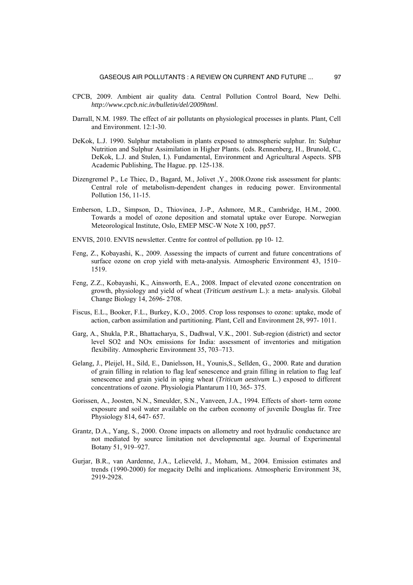- CPCB, 2009. Ambient air quality data. Central Pollution Control Board, New Delhi. *http://www.cpcb.nic.in/bulletin/del/2009html*.
- Darrall, N.M. 1989. The effect of air pollutants on physiological processes in plants. Plant, Cell and Environment. 12:1-30.
- DeKok, L.J. 1990. Sulphur metabolism in plants exposed to atmospheric sulphur. In: Sulphur Nutrition and Sulphur Assimilation in Higher Plants. (eds. Rennenberg, H., Brunold, C., DeKok, L.J. and Stulen, I.). Fundamental, Environment and Agricultural Aspects. SPB Academic Publishing, The Hague. pp. 125-138.
- Dizengremel P., Le Thiec, D., Bagard, M., Jolivet ,Y., 2008.Ozone risk assessment for plants: Central role of metabolism-dependent changes in reducing power. Environmental Pollution 156, 11-15.
- Emberson, L.D., Simpson, D., Thiovinea, J.-P., Ashmore, M.R., Cambridge, H.M., 2000. Towards a model of ozone deposition and stomatal uptake over Europe. Norwegian Meteorological Institute, Oslo, EMEP MSC-W Note X 100, pp57.
- ENVIS, 2010. ENVIS newsletter. Centre for control of pollution. pp 10- 12.
- Feng, Z., Kobayashi, K., 2009. Assessing the impacts of current and future concentrations of surface ozone on crop yield with meta-analysis. Atmospheric Environment 43, 1510– 1519.
- Feng, Z.Z., Kobayashi, K., Ainsworth, E.A., 2008. Impact of elevated ozone concentration on growth, physiology and yield of wheat (*Triticum aestivum* L.): a meta- analysis. Global Change Biology 14, 2696- 2708.
- Fiscus, E.L., Booker, F.L., Burkey, K.O., 2005. Crop loss responses to ozone: uptake, mode of action, carbon assimilation and partitioning. Plant, Cell and Environment 28, 997- 1011.
- Garg, A., Shukla, P.R., Bhattacharya, S., Dadhwal, V.K., 2001. Sub-region (district) and sector level SO2 and NOx emissions for India: assessment of inventories and mitigation flexibility. Atmospheric Environment 35, 703–713.
- Gelang, J., Pleijel, H., Sild, E., Danielsson, H., Younis,S., Sellden, G., 2000. Rate and duration of grain filling in relation to flag leaf senescence and grain filling in relation to flag leaf senescence and grain yield in sping wheat (*Triticum aestivum* L.) exposed to different concentrations of ozone. Physiologia Plantarum 110, 365- 375.
- Gorissen, A., Joosten, N.N., Smeulder, S.N., Vanveen, J.A., 1994. Effects of short- term ozone exposure and soil water available on the carbon economy of juvenile Douglas fir. Tree Physiology 814, 647- 657.
- Grantz, D.A., Yang, S., 2000. Ozone impacts on allometry and root hydraulic conductance are not mediated by source limitation not developmental age. Journal of Experimental Botany 51, 919–927.
- Gurjar, B.R., van Aardenne, J.A., Lelieveld, J., Moham, M., 2004. Emission estimates and trends (1990-2000) for megacity Delhi and implications. Atmospheric Environment 38, 2919-2928.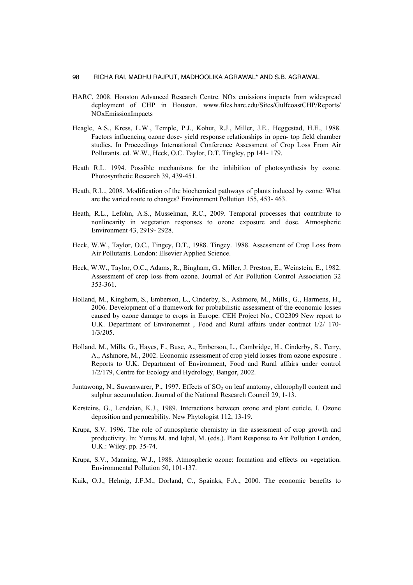- HARC, 2008. Houston Advanced Research Centre. NOx emissions impacts from widespread deployment of CHP in Houston. www.files.harc.edu/Sites/GulfcoastCHP/Reports/ NOxEmissionImpacts
- Heagle, A.S., Kress, L.W., Temple, P.J., Kohut, R.J., Miller, J.E., Heggestad, H.E., 1988. Factors influencing ozone dose- yield response relationships in open- top field chamber studies. In Proceedings International Conference Assessment of Crop Loss From Air Pollutants. ed. W.W., Heck, O.C. Taylor, D.T. Tingley, pp 141- 179.
- Heath R.L. 1994. Possible mechanisms for the inhibition of photosynthesis by ozone. Photosynthetic Research 39, 439-451.
- Heath, R.L., 2008. Modification of the biochemical pathways of plants induced by ozone: What are the varied route to changes? Environment Pollution 155, 453- 463.
- Heath, R.L., Lefohn, A.S., Musselman, R.C., 2009. Temporal processes that contribute to nonlinearity in vegetation responses to ozone exposure and dose. Atmospheric Environment 43, 2919- 2928.
- Heck, W.W., Taylor, O.C., Tingey, D.T., 1988. Tingey. 1988. Assessment of Crop Loss from Air Pollutants. London: Elsevier Applied Science.
- Heck, W.W., Taylor, O.C., Adams, R., Bingham, G., Miller, J. Preston, E., Weinstein, E., 1982. Assessment of crop loss from ozone. Journal of Air Pollution Control Association 32 353-361.
- Holland, M., Kinghorn, S., Emberson, L., Cinderby, S., Ashmore, M., Mills., G., Harmens, H., 2006. Development of a framework for probabilistic assessment of the economic losses caused by ozone damage to crops in Europe. CEH Project No., CO2309 New report to U.K. Department of Environemnt , Food and Rural affairs under contract 1/2/ 170- 1/3/205.
- Holland, M., Mills, G., Hayes, F., Buse, A., Emberson, L., Cambridge, H., Cinderby, S., Terry, A., Ashmore, M., 2002. Economic assessment of crop yield losses from ozone exposure . Reports to U.K. Department of Environment, Food and Rural affairs under control 1/2/179, Centre for Ecology and Hydrology, Bangor, 2002.
- Juntawong, N., Suwanwarer, P., 1997. Effects of  $SO<sub>2</sub>$  on leaf anatomy, chlorophyll content and sulphur accumulation. Journal of the National Research Council 29, 1-13.
- Kersteins, G., Lendzian, K.J., 1989. Interactions between ozone and plant cuticle. I. Ozone deposition and permeability. New Phytologist 112, 13-19.
- Krupa, S.V. 1996. The role of atmospheric chemistry in the assessment of crop growth and productivity. In: Yunus M. and Iqbal, M. (eds.). Plant Response to Air Pollution London, U.K.: Wiley. pp. 35-74.
- Krupa, S.V., Manning, W.J., 1988. Atmospheric ozone: formation and effects on vegetation. Environmental Pollution 50, 101-137.
- Kuik, O.J., Helmig, J.F.M., Dorland, C., Spainks, F.A., 2000. The economic benefits to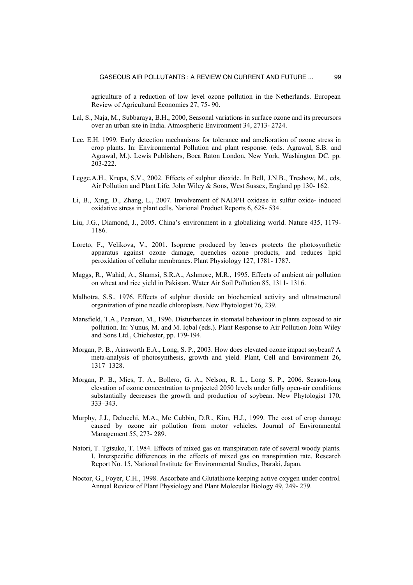agriculture of a reduction of low level ozone pollution in the Netherlands. European Review of Agricultural Economies 27, 75- 90.

- Lal, S., Naja, M., Subbaraya, B.H., 2000, Seasonal variations in surface ozone and its precursors over an urban site in India. Atmospheric Environment 34, 2713- 2724.
- Lee, E.H. 1999. Early detection mechanisms for tolerance and amelioration of ozone stress in crop plants. In: Environmental Pollution and plant response. (eds. Agrawal, S.B. and Agrawal, M.). Lewis Publishers, Boca Raton London, New York, Washington DC. pp. 203-222.
- Legge,A.H., Krupa, S.V., 2002. Effects of sulphur dioxide. In Bell, J.N.B., Treshow, M., eds, Air Pollution and Plant Life. John Wiley & Sons, West Sussex, England pp 130- 162.
- Li, B., Xing, D., Zhang, L., 2007. Involvement of NADPH oxidase in sulfur oxide- induced oxidative stress in plant cells. National Product Reports 6, 628- 534.
- Liu, J.G., Diamond, J., 2005. China's environment in a globalizing world. Nature 435, 1179- 1186.
- Loreto, F., Velikova, V., 2001. Isoprene produced by leaves protects the photosynthetic apparatus against ozone damage, quenches ozone products, and reduces lipid peroxidation of cellular membranes. Plant Physiology 127, 1781- 1787.
- Maggs, R., Wahid, A., Shamsi, S.R.A., Ashmore, M.R., 1995. Effects of ambient air pollution on wheat and rice yield in Pakistan. Water Air Soil Pollution 85, 1311- 1316.
- Malhotra, S.S., 1976. Effects of sulphur dioxide on biochemical activity and ultrastructural organization of pine needle chloroplasts. New Phytologist 76, 239.
- Mansfield, T.A., Pearson, M., 1996. Disturbances in stomatal behaviour in plants exposed to air pollution. In: Yunus, M. and M. Iqbal (eds.). Plant Response to Air Pollution John Wiley and Sons Ltd., Chichester, pp. 179-194.
- Morgan, P. B., Ainsworth E.A., Long, S. P., 2003. How does elevated ozone impact soybean? A meta-analysis of photosynthesis, growth and yield. Plant, Cell and Environment 26, 1317–1328.
- Morgan, P. B., Mies, T. A., Bollero, G. A., Nelson, R. L., Long S. P., 2006. Season-long elevation of ozone concentration to projected 2050 levels under fully open-air conditions substantially decreases the growth and production of soybean. New Phytologist 170, 333–343.
- Murphy, J.J., Delucchi, M.A., Mc Cubbin, D.R., Kim, H.J., 1999. The cost of crop damage caused by ozone air pollution from motor vehicles. Journal of Environmental Management 55, 273- 289.
- Natori, T. Tgtsuko, T. 1984. Effects of mixed gas on transpiration rate of several woody plants. I. Interspecific differences in the effects of mixed gas on transpiration rate. Research Report No. 15, National Institute for Environmental Studies, Ibaraki, Japan.
- Noctor, G., Foyer, C.H., 1998. Ascorbate and Glutathione keeping active oxygen under control. Annual Review of Plant Physiology and Plant Molecular Biology 49, 249- 279.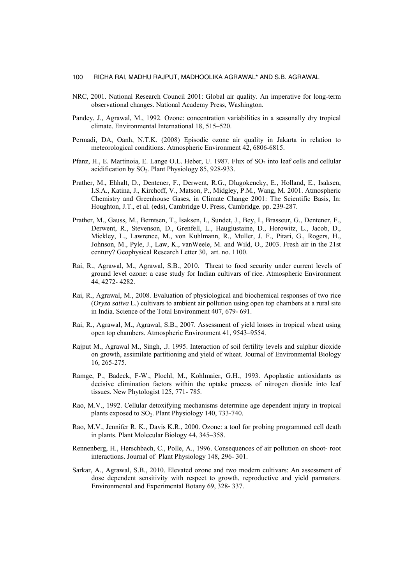- NRC, 2001. National Research Council 2001: Global air quality. An imperative for long-term observational changes. National Academy Press, Washington.
- Pandey, J., Agrawal, M., 1992. Ozone: concentration variabilities in a seasonally dry tropical climate. Environmental International 18, 515–520.
- Permadi, DA, Oanh, N.T.K. (2008) Episodic ozone air quality in Jakarta in relation to meteorological conditions. Atmospheric Environment 42, 6806-6815.
- Pfanz, H., E. Martinoia, E. Lange O.L. Heber, U. 1987. Flux of SO<sub>2</sub> into leaf cells and cellular acidification by  $SO<sub>2</sub>$ . Plant Physiology 85, 928-933.
- Prather, M., Ehhalt, D., Dentener, F., Derwent, R.G., Dlugokencky, E., Holland, E., Isaksen, I.S.A., Katina, J., Kirchoff, V., Matson, P., Midgley, P.M., Wang, M. 2001. Atmospheric Chemistry and Greenhouse Gases, in Climate Change 2001: The Scientific Basis, In: Houghton, J.T., et al. (eds), Cambridge U. Press, Cambridge. pp. 239-287.
- Prather, M., Gauss, M., Berntsen, T., Isaksen, I., Sundet, J., Bey, I., Brasseur, G., Dentener, F., Derwent, R., Stevenson, D., Grenfell, L., Hauglustaine, D., Horowitz, L., Jacob, D., Mickley, L., Lawrence, M., von Kuhlmann, R., Muller, J. F., Pitari, G., Rogers, H., Johnson, M., Pyle, J., Law, K., vanWeele, M. and Wild, O., 2003. Fresh air in the 21st century? Geophysical Research Letter 30, art. no. 1100.
- Rai, R., Agrawal, M., Agrawal, S.B., 2010. Threat to food security under current levels of ground level ozone: a case study for Indian cultivars of rice. Atmospheric Environment 44, 4272- 4282.
- Rai, R., Agrawal, M., 2008. Evaluation of physiological and biochemical responses of two rice (*Oryza sativa* L.) cultivars to ambient air pollution using open top chambers at a rural site in India. Science of the Total Environment 407, 679- 691.
- Rai, R., Agrawal, M., Agrawal, S.B., 2007. Assessment of yield losses in tropical wheat using open top chambers. Atmospheric Environment 41, 9543–9554.
- Rajput M., Agrawal M., Singh, .J. 1995. Interaction of soil fertility levels and sulphur dioxide on growth, assimilate partitioning and yield of wheat. Journal of Environmental Biology 16, 265-275.
- Ramge, P., Badeck, F-W., Plochl, M., Kohlmaier, G.H., 1993. Apoplastic antioxidants as decisive elimination factors within the uptake process of nitrogen dioxide into leaf tissues. New Phytologist 125, 771- 785.
- Rao, M.V., 1992. Cellular detoxifying mechanisms determine age dependent injury in tropical plants exposed to  $SO_2$ . Plant Physiology 140, 733-740.
- Rao, M.V., Jennifer R. K., Davis K.R., 2000. Ozone: a tool for probing programmed cell death in plants. Plant Molecular Biology 44, 345–358.
- Rennenberg, H., Herschbach, C., Polle, A., 1996. Consequences of air pollution on shoot- root interactions. Journal of Plant Physiology 148, 296- 301.
- Sarkar, A., Agrawal, S.B., 2010. Elevated ozone and two modern cultivars: An assessment of dose dependent sensitivity with respect to growth, reproductive and yield parmaters. Environmental and Experimental Botany 69, 328- 337.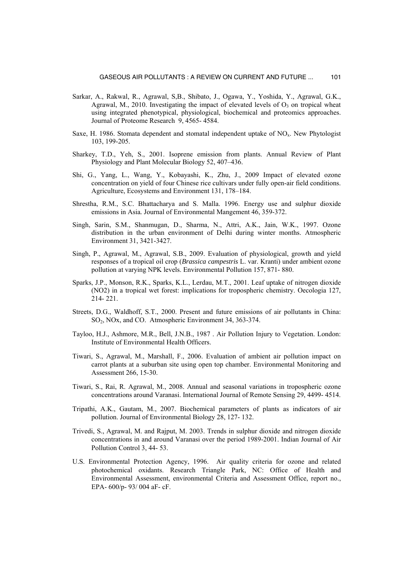- Sarkar, A., Rakwal, R., Agrawal, S,B., Shibato, J., Ogawa, Y., Yoshida, Y., Agrawal, G.K., Agrawal, M., 2010. Investigating the impact of elevated levels of  $O_3$  on tropical wheat using integrated phenotypical, physiological, biochemical and proteomics approaches. Journal of Proteome Research 9, 4565- 4584.
- Saxe, H. 1986. Stomata dependent and stomatal independent uptake of  $NO<sub>x</sub>$ . New Phytologist 103, 199-205.
- Sharkey, T.D., Yeh, S., 2001. Isoprene emission from plants. Annual Review of Plant Physiology and Plant Molecular Biology 52, 407–436.
- Shi, G., Yang, L., Wang, Y., Kobayashi, K., Zhu, J., 2009 Impact of elevated ozone concentration on yield of four Chinese rice cultivars under fully open-air field conditions. Agriculture, Ecosystems and Environment 131, 178–184.
- Shrestha, R.M., S.C. Bhattacharya and S. Malla. 1996. Energy use and sulphur dioxide emissions in Asia*.* Journal of Environmental Mangement 46, 359-372.
- Singh, Sarin, S.M., Shanmugan, D., Sharma, N., Attri, A.K., Jain, W.K., 1997. Ozone distribution in the urban environment of Delhi during winter months. Atmospheric Environment 31, 3421-3427.
- Singh, P., Agrawal, M., Agrawal, S.B., 2009. Evaluation of physiological, growth and yield responses of a tropical oil crop (*Brassica campestris* L. var. Kranti) under ambient ozone pollution at varying NPK levels. Environmental Pollution 157, 871- 880.
- Sparks, J.P., Monson, R.K., Sparks, K.L., Lerdau, M.T., 2001. Leaf uptake of nitrogen dioxide (NO2) in a tropical wet forest: implications for tropospheric chemistry. Oecologia 127, 214- 221.
- Streets, D.G., Waldhoff, S.T., 2000. Present and future emissions of air pollutants in China: SO2, NOx, and CO. Atmospheric Environment 34, 363-374.
- Tayloo, H.J., Ashmore, M.R., Bell, J.N.B., 1987 . Air Pollution Injury to Vegetation. London: Institute of Environmental Health Officers.
- Tiwari, S., Agrawal, M., Marshall, F., 2006. Evaluation of ambient air pollution impact on carrot plants at a suburban site using open top chamber. Environmental Monitoring and Assessment 266, 15-30.
- Tiwari, S., Rai, R. Agrawal, M., 2008. Annual and seasonal variations in tropospheric ozone concentrations around Varanasi. International Journal of Remote Sensing 29, 4499- 4514.
- Tripathi, A.K., Gautam, M., 2007. Biochemical parameters of plants as indicators of air pollution. Journal of Environmental Biology 28, 127- 132.
- Trivedi, S., Agrawal, M. and Rajput, M. 2003. Trends in sulphur dioxide and nitrogen dioxide concentrations in and around Varanasi over the period 1989-2001. Indian Journal of Air Pollution Control 3, 44- 53.
- U.S. Environmental Protection Agency, 1996. Air quality criteria for ozone and related photochemical oxidants. Research Triangle Park, NC: Office of Health and Environmental Assessment, environmental Criteria and Assessment Office, report no., EPA- 600/p- 93/ 004 aF- cF.